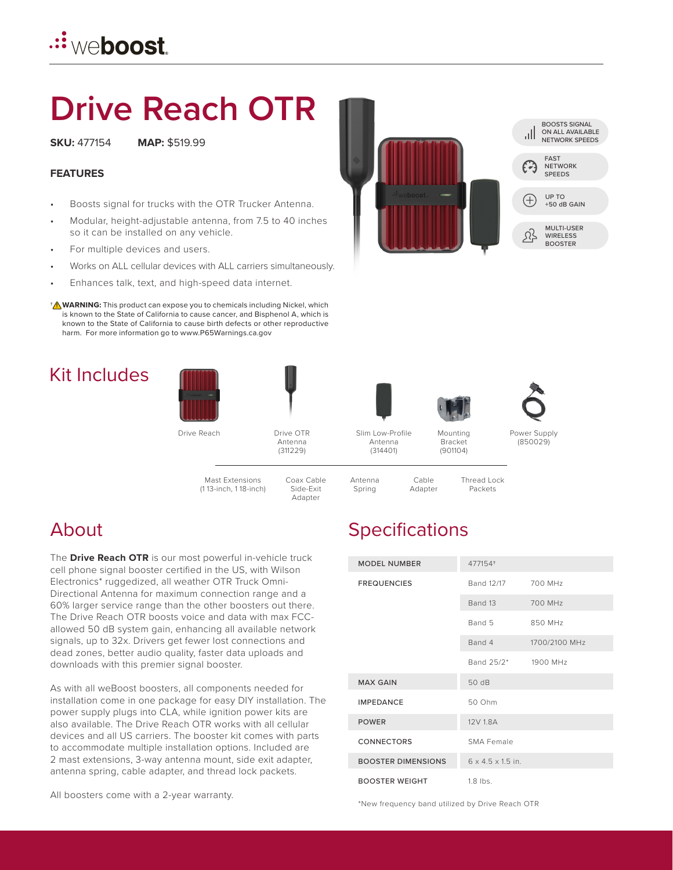## **<u>.∷weboost</u>**

# **Drive Reach OTR**

**SKU:** 477154 **MAP:** \$519.99

#### **FEATURES**

- Boosts signal for trucks with the OTR Trucker Antenna.
- Modular, height-adjustable antenna, from 7.5 to 40 inches so it can be installed on any vehicle.
- For multiple devices and users.
- Works on ALL cellular devices with ALL carriers simultaneously.
- Enhances talk, text, and high-speed data internet.
- **WARNING:** This product can expose you to chemicals including Nickel, which † **!** is known to the State of California to cause cancer, and Bisphenol A, which is known to the State of California to cause birth defects or other reproductive harm. For more information go to www.P65Warnings.ca.gov

#### Kit Includes





(311229)

Slim Low-Profile Antenna

(314401)



(901104)



Power Supply (850029)

Mast Extensions (1 13-inch, 1 18-inch)



Cable Adapter Thread Lock Packets

#### About

The **Drive Reach OTR** is our most powerful in-vehicle truck cell phone signal booster certified in the US, with Wilson Electronics\* ruggedized, all weather OTR Truck Omni-Directional Antenna for maximum connection range and a 60% larger service range than the other boosters out there. The Drive Reach OTR boosts voice and data with max FCCallowed 50 dB system gain, enhancing all available network signals, up to 32x. Drivers get fewer lost connections and dead zones, better audio quality, faster data uploads and downloads with this premier signal booster.

As with all weBoost boosters, all components needed for installation come in one package for easy DIY installation. The power supply plugs into CLA, while ignition power kits are also available. The Drive Reach OTR works with all cellular devices and all US carriers. The booster kit comes with parts to accommodate multiple installation options. Included are 2 mast extensions, 3-way antenna mount, side exit adapter, antenna spring, cable adapter, and thread lock packets.

All boosters come with a 2-year warranty.

#### **Specifications**

| <b>MODEL NUMBER</b>       | 477154+                       |               |
|---------------------------|-------------------------------|---------------|
| <b>FREQUENCIES</b>        | Band 12/17                    | 700 MHz       |
|                           | Band 13                       | 700 MHz       |
|                           | Band 5                        | 850 MHz       |
|                           | Band 4                        | 1700/2100 MHz |
|                           | Band 25/2* 1900 MHz           |               |
| <b>MAX GAIN</b>           | 50 dB                         |               |
| <b>IMPEDANCE</b>          | 50 Ohm                        |               |
| <b>POWER</b>              | 12V 1.8A                      |               |
| <b>CONNECTORS</b>         | SMA Female                    |               |
| <b>BOOSTER DIMENSIONS</b> | $6 \times 4.5 \times 1.5$ in. |               |
| <b>BOOSTER WEIGHT</b>     | $1.8$ lbs.                    |               |

\*New frequency band utilized by Drive Reach OTR